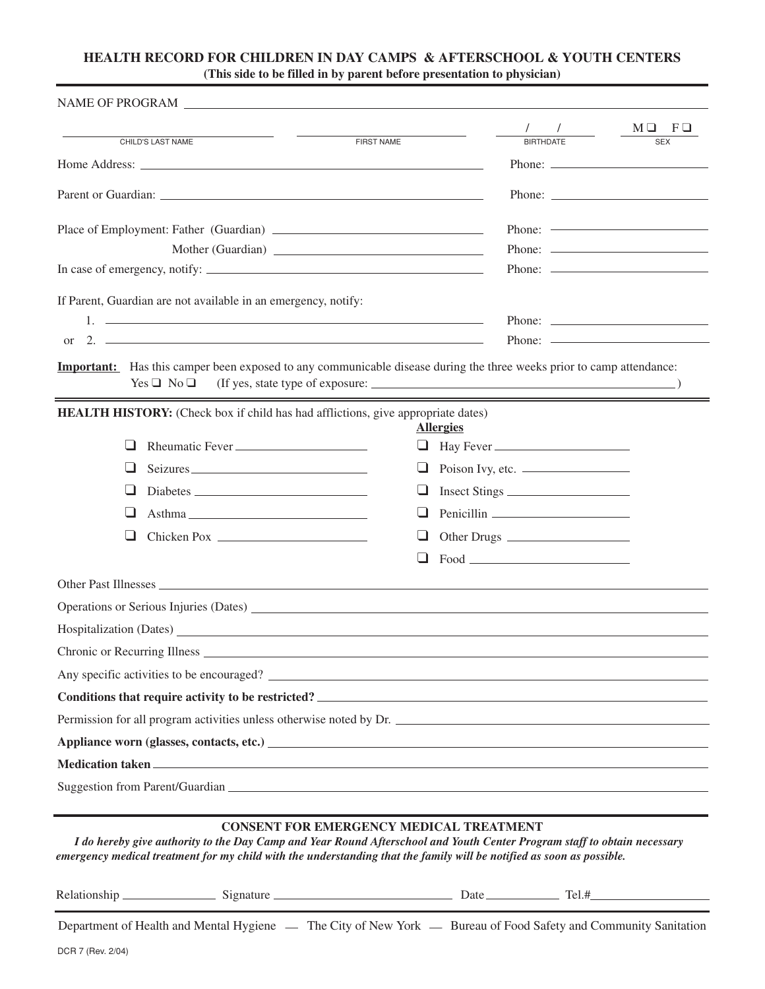## **HEALTH RECORD FOR CHILDREN IN DAY CAMPS & AFTERSCHOOL & YOUTH CENTERS (This side to be filled in by parent before presentation to physician)**

|                    |                                                                                                                                                                                                                                                                                                                        |                                                |                  | $\begin{picture}(20,20) \put(0,0){\dashbox{0.5}(5,0){ }} \put(15,0){\dashbox{0.5}(5,0){ }} \put(15,0){\dashbox{0.5}(5,0){ }} \put(15,0){\dashbox{0.5}(5,0){ }} \put(15,0){\dashbox{0.5}(5,0){ }} \put(15,0){\dashbox{0.5}(5,0){ }} \put(15,0){\dashbox{0.5}(5,0){ }} \put(15,0){\dashbox{0.5}(5,0){ }} \put(15,0){\dashbox{0.5}(5,0){ }} \put(15,0){\dashbox{0.5}(5,0){ }}$ | $M \square$ $F \square$                                                                                                                                                                                                                                                                                                                                                                                      |
|--------------------|------------------------------------------------------------------------------------------------------------------------------------------------------------------------------------------------------------------------------------------------------------------------------------------------------------------------|------------------------------------------------|------------------|-----------------------------------------------------------------------------------------------------------------------------------------------------------------------------------------------------------------------------------------------------------------------------------------------------------------------------------------------------------------------------|--------------------------------------------------------------------------------------------------------------------------------------------------------------------------------------------------------------------------------------------------------------------------------------------------------------------------------------------------------------------------------------------------------------|
| CHILD'S LAST NAME  |                                                                                                                                                                                                                                                                                                                        | <b>FIRST NAME</b>                              |                  | <b>BIRTHDATE</b>                                                                                                                                                                                                                                                                                                                                                            | <b>SEX</b>                                                                                                                                                                                                                                                                                                                                                                                                   |
|                    |                                                                                                                                                                                                                                                                                                                        |                                                |                  |                                                                                                                                                                                                                                                                                                                                                                             | Phone: $\frac{1}{\sqrt{1-\frac{1}{2}}\sqrt{1-\frac{1}{2}}\sqrt{1-\frac{1}{2}}\sqrt{1-\frac{1}{2}}\sqrt{1-\frac{1}{2}}\sqrt{1-\frac{1}{2}}\sqrt{1-\frac{1}{2}}\sqrt{1-\frac{1}{2}}\sqrt{1-\frac{1}{2}}\sqrt{1-\frac{1}{2}}\sqrt{1-\frac{1}{2}}\sqrt{1-\frac{1}{2}}\sqrt{1-\frac{1}{2}}\sqrt{1-\frac{1}{2}}\sqrt{1-\frac{1}{2}}\sqrt{1-\frac{1}{2}}\sqrt{1-\frac{1}{2}}\sqrt{1-\frac{1}{2}}\sqrt{1-\frac{1}{2$ |
|                    |                                                                                                                                                                                                                                                                                                                        |                                                |                  |                                                                                                                                                                                                                                                                                                                                                                             | Phone: $\frac{1}{\sqrt{1-\frac{1}{2}}\sqrt{1-\frac{1}{2}}\sqrt{1-\frac{1}{2}}\sqrt{1-\frac{1}{2}}\sqrt{1-\frac{1}{2}}\sqrt{1-\frac{1}{2}}\sqrt{1-\frac{1}{2}}\sqrt{1-\frac{1}{2}}\sqrt{1-\frac{1}{2}}\sqrt{1-\frac{1}{2}}\sqrt{1-\frac{1}{2}}\sqrt{1-\frac{1}{2}}\sqrt{1-\frac{1}{2}}\sqrt{1-\frac{1}{2}}\sqrt{1-\frac{1}{2}}\sqrt{1-\frac{1}{2}}\sqrt{1-\frac{1}{2}}\sqrt{1-\frac{1}{2}}\sqrt{1-\frac{1}{2$ |
|                    |                                                                                                                                                                                                                                                                                                                        |                                                |                  |                                                                                                                                                                                                                                                                                                                                                                             |                                                                                                                                                                                                                                                                                                                                                                                                              |
|                    | Mother (Guardian)                                                                                                                                                                                                                                                                                                      |                                                |                  |                                                                                                                                                                                                                                                                                                                                                                             |                                                                                                                                                                                                                                                                                                                                                                                                              |
|                    |                                                                                                                                                                                                                                                                                                                        |                                                |                  |                                                                                                                                                                                                                                                                                                                                                                             |                                                                                                                                                                                                                                                                                                                                                                                                              |
|                    | If Parent, Guardian are not available in an emergency, notify:                                                                                                                                                                                                                                                         |                                                |                  |                                                                                                                                                                                                                                                                                                                                                                             |                                                                                                                                                                                                                                                                                                                                                                                                              |
|                    |                                                                                                                                                                                                                                                                                                                        |                                                |                  |                                                                                                                                                                                                                                                                                                                                                                             |                                                                                                                                                                                                                                                                                                                                                                                                              |
| or                 | 2. $\frac{1}{2}$ $\frac{1}{2}$ $\frac{1}{2}$ $\frac{1}{2}$ $\frac{1}{2}$ $\frac{1}{2}$ $\frac{1}{2}$ $\frac{1}{2}$ $\frac{1}{2}$ $\frac{1}{2}$ $\frac{1}{2}$ $\frac{1}{2}$ $\frac{1}{2}$ $\frac{1}{2}$ $\frac{1}{2}$ $\frac{1}{2}$ $\frac{1}{2}$ $\frac{1}{2}$ $\frac{1}{2}$ $\frac{1}{2}$ $\frac{1}{2}$ $\frac{1}{2}$ |                                                |                  |                                                                                                                                                                                                                                                                                                                                                                             | Phone: $\frac{1}{2}$                                                                                                                                                                                                                                                                                                                                                                                         |
| $Yes \Box No \Box$ | <b>Important:</b> Has this camper been exposed to any communicable disease during the three weeks prior to camp attendance:<br><u> Andreas Andreas Andreas Andreas Andreas Andreas Andreas Andreas Andreas Andreas Andreas Andreas Andreas Andr</u>                                                                    |                                                |                  |                                                                                                                                                                                                                                                                                                                                                                             |                                                                                                                                                                                                                                                                                                                                                                                                              |
|                    | <b>HEALTH HISTORY:</b> (Check box if child has had afflictions, give appropriate dates)                                                                                                                                                                                                                                |                                                | <b>Allergies</b> |                                                                                                                                                                                                                                                                                                                                                                             |                                                                                                                                                                                                                                                                                                                                                                                                              |
| ப                  | Rheumatic Fever                                                                                                                                                                                                                                                                                                        | $\Box$                                         | Hay Fever        |                                                                                                                                                                                                                                                                                                                                                                             |                                                                                                                                                                                                                                                                                                                                                                                                              |
| ப                  | Seizures                                                                                                                                                                                                                                                                                                               | ⊔                                              | Poison Ivy, etc. |                                                                                                                                                                                                                                                                                                                                                                             |                                                                                                                                                                                                                                                                                                                                                                                                              |
|                    |                                                                                                                                                                                                                                                                                                                        | ⊔                                              | Insect Stings    |                                                                                                                                                                                                                                                                                                                                                                             |                                                                                                                                                                                                                                                                                                                                                                                                              |
| ப                  | Asthma                                                                                                                                                                                                                                                                                                                 | ப                                              |                  |                                                                                                                                                                                                                                                                                                                                                                             |                                                                                                                                                                                                                                                                                                                                                                                                              |
|                    |                                                                                                                                                                                                                                                                                                                        |                                                |                  |                                                                                                                                                                                                                                                                                                                                                                             |                                                                                                                                                                                                                                                                                                                                                                                                              |
|                    |                                                                                                                                                                                                                                                                                                                        |                                                |                  |                                                                                                                                                                                                                                                                                                                                                                             |                                                                                                                                                                                                                                                                                                                                                                                                              |
|                    |                                                                                                                                                                                                                                                                                                                        |                                                |                  |                                                                                                                                                                                                                                                                                                                                                                             |                                                                                                                                                                                                                                                                                                                                                                                                              |
|                    | Operations or Serious Injuries (Dates) Later and March 1988                                                                                                                                                                                                                                                            |                                                |                  |                                                                                                                                                                                                                                                                                                                                                                             |                                                                                                                                                                                                                                                                                                                                                                                                              |
|                    |                                                                                                                                                                                                                                                                                                                        |                                                |                  |                                                                                                                                                                                                                                                                                                                                                                             |                                                                                                                                                                                                                                                                                                                                                                                                              |
|                    |                                                                                                                                                                                                                                                                                                                        |                                                |                  |                                                                                                                                                                                                                                                                                                                                                                             |                                                                                                                                                                                                                                                                                                                                                                                                              |
|                    | Any specific activities to be encouraged?                                                                                                                                                                                                                                                                              |                                                |                  |                                                                                                                                                                                                                                                                                                                                                                             |                                                                                                                                                                                                                                                                                                                                                                                                              |
|                    | Conditions that require activity to be restricted?<br><u>Conditions that require activity to be restricted?</u>                                                                                                                                                                                                        |                                                |                  |                                                                                                                                                                                                                                                                                                                                                                             |                                                                                                                                                                                                                                                                                                                                                                                                              |
|                    | Permission for all program activities unless otherwise noted by Dr.                                                                                                                                                                                                                                                    |                                                |                  |                                                                                                                                                                                                                                                                                                                                                                             |                                                                                                                                                                                                                                                                                                                                                                                                              |
|                    |                                                                                                                                                                                                                                                                                                                        |                                                |                  |                                                                                                                                                                                                                                                                                                                                                                             |                                                                                                                                                                                                                                                                                                                                                                                                              |
|                    |                                                                                                                                                                                                                                                                                                                        |                                                |                  |                                                                                                                                                                                                                                                                                                                                                                             |                                                                                                                                                                                                                                                                                                                                                                                                              |
|                    |                                                                                                                                                                                                                                                                                                                        |                                                |                  |                                                                                                                                                                                                                                                                                                                                                                             |                                                                                                                                                                                                                                                                                                                                                                                                              |
|                    | I do hereby give authority to the Day Camp and Year Round Afterschool and Youth Center Program staff to obtain necessary<br>emergency medical treatment for my child with the understanding that the family will be notified as soon as possible.                                                                      | <b>CONSENT FOR EMERGENCY MEDICAL TREATMENT</b> |                  |                                                                                                                                                                                                                                                                                                                                                                             |                                                                                                                                                                                                                                                                                                                                                                                                              |
|                    |                                                                                                                                                                                                                                                                                                                        |                                                |                  |                                                                                                                                                                                                                                                                                                                                                                             |                                                                                                                                                                                                                                                                                                                                                                                                              |
|                    | Department of Health and Mental Hygiene — The City of New York — Bureau of Food Safety and Community Sanitation                                                                                                                                                                                                        |                                                |                  |                                                                                                                                                                                                                                                                                                                                                                             |                                                                                                                                                                                                                                                                                                                                                                                                              |